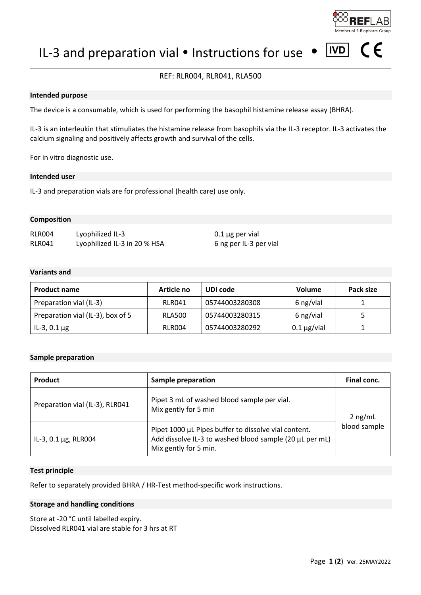

 $\epsilon$ 

 $|IVD|$ IL-3 and preparation vial  $\bullet$  Instructions for use

# REF: RLR004, RLR041, RLA500

#### **Intended purpose**

The device is a consumable, which is used for performing the basophil histamine release assay (BHRA).

IL-3 is an interleukin that stimuliates the histamine release from basophils via the IL-3 receptor. IL-3 activates the calcium signaling and positively affects growth and survival of the cells.

For in vitro diagnostic use.

## **Intended user**

IL-3 and preparation vials are for professional (health care) use only.

#### **Composition**

RLR004 Lyophilized IL-3 0.1 µg per vial RLR041 Lyophilized IL-3 in 20 % HSA 6 ng per IL-3 per vial

#### **Variants and**

| <b>Product name</b>               | Article no    | UDI code       | <b>Volume</b>     | Pack size |
|-----------------------------------|---------------|----------------|-------------------|-----------|
| Preparation vial (IL-3)           | RLR041        | 05744003280308 | 6 ng/vial         |           |
| Preparation vial (IL-3), box of 5 | <b>RLA500</b> | 05744003280315 | 6 ng/vial         |           |
| IL-3, 0.1 $\mu$ g                 | RLR004        | 05744003280292 | $0.1 \mu g$ /vial |           |

#### **Sample preparation**

| <b>Product</b>                  | <b>Sample preparation</b>                                                                                                                | Final conc.               |
|---------------------------------|------------------------------------------------------------------------------------------------------------------------------------------|---------------------------|
| Preparation vial (IL-3), RLR041 | Pipet 3 mL of washed blood sample per vial.<br>Mix gently for 5 min                                                                      | $2$ ng/mL<br>blood sample |
| IL-3, 0.1 $\mu$ g, RLR004       | Pipet 1000 µL Pipes buffer to dissolve vial content.<br>Add dissolve IL-3 to washed blood sample (20 µL per mL)<br>Mix gently for 5 min. |                           |

## **Test principle**

Refer to separately provided BHRA / HR-Test method-specific work instructions.

#### **Storage and handling conditions**

Store at -20 °C until labelled expiry. Dissolved RLR041 vial are stable for 3 hrs at RT